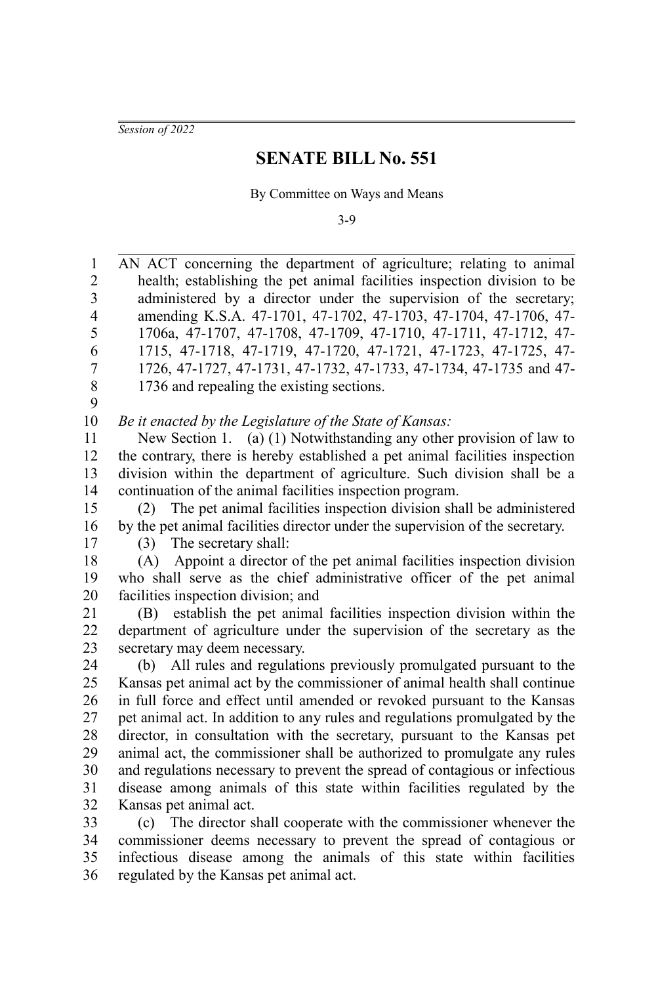*Session of 2022*

## **SENATE BILL No. 551**

By Committee on Ways and Means

3-9

AN ACT concerning the department of agriculture; relating to animal health; establishing the pet animal facilities inspection division to be administered by a director under the supervision of the secretary; amending K.S.A. 47-1701, 47-1702, 47-1703, 47-1704, 47-1706, 47- 1706a, 47-1707, 47-1708, 47-1709, 47-1710, 47-1711, 47-1712, 47- 1715, 47-1718, 47-1719, 47-1720, 47-1721, 47-1723, 47-1725, 47- 1726, 47-1727, 47-1731, 47-1732, 47-1733, 47-1734, 47-1735 and 47- 1736 and repealing the existing sections. *Be it enacted by the Legislature of the State of Kansas:* New Section 1. (a) (1) Notwithstanding any other provision of law to the contrary, there is hereby established a pet animal facilities inspection division within the department of agriculture. Such division shall be a continuation of the animal facilities inspection program. (2) The pet animal facilities inspection division shall be administered by the pet animal facilities director under the supervision of the secretary. (3) The secretary shall: (A) Appoint a director of the pet animal facilities inspection division who shall serve as the chief administrative officer of the pet animal facilities inspection division; and (B) establish the pet animal facilities inspection division within the department of agriculture under the supervision of the secretary as the secretary may deem necessary. (b) All rules and regulations previously promulgated pursuant to the Kansas pet animal act by the commissioner of animal health shall continue in full force and effect until amended or revoked pursuant to the Kansas pet animal act. In addition to any rules and regulations promulgated by the director, in consultation with the secretary, pursuant to the Kansas pet animal act, the commissioner shall be authorized to promulgate any rules and regulations necessary to prevent the spread of contagious or infectious disease among animals of this state within facilities regulated by the Kansas pet animal act. (c) The director shall cooperate with the commissioner whenever the commissioner deems necessary to prevent the spread of contagious or infectious disease among the animals of this state within facilities 1 2 3 4 5 6 7 8 9 10 11 12 13 14 15 16 17 18 19 20 21 22 23 24 25 26 27 28 29 30 31 32 33 34 35

regulated by the Kansas pet animal act. 36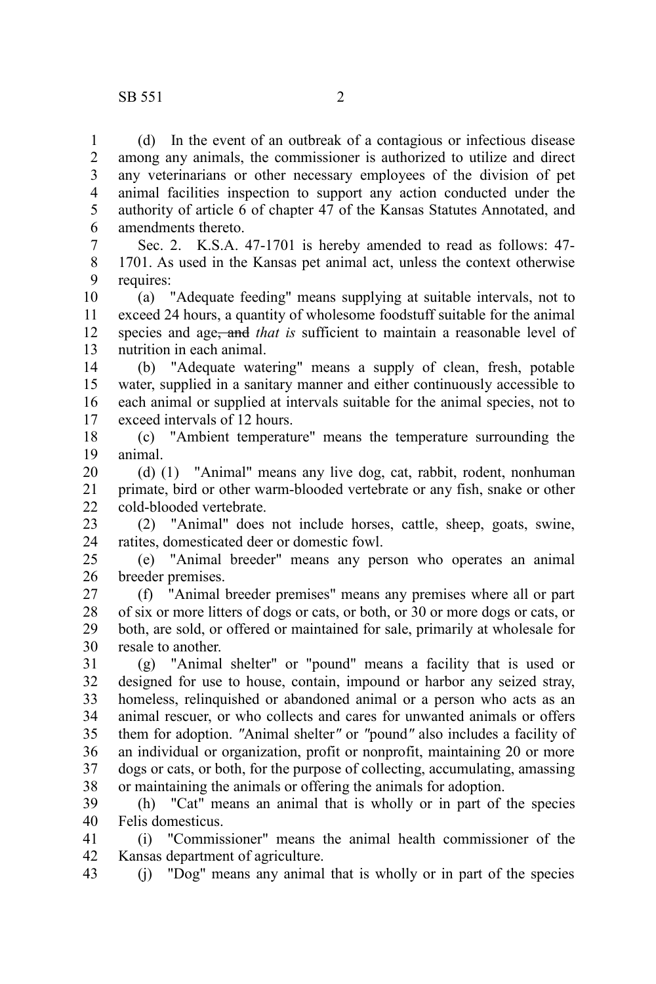(d) In the event of an outbreak of a contagious or infectious disease among any animals, the commissioner is authorized to utilize and direct any veterinarians or other necessary employees of the division of pet animal facilities inspection to support any action conducted under the authority of article 6 of chapter 47 of the Kansas Statutes Annotated, and amendments thereto. 1 2 3 4 5 6

Sec. 2. K.S.A. 47-1701 is hereby amended to read as follows: 47- 1701. As used in the Kansas pet animal act, unless the context otherwise requires: 7 8 9

(a) "Adequate feeding" means supplying at suitable intervals, not to exceed 24 hours, a quantity of wholesome foodstuff suitable for the animal species and age<del>, and</del> that is sufficient to maintain a reasonable level of nutrition in each animal. 10 11 12 13

(b) "Adequate watering" means a supply of clean, fresh, potable water, supplied in a sanitary manner and either continuously accessible to each animal or supplied at intervals suitable for the animal species, not to exceed intervals of 12 hours. 14 15 16 17

(c) "Ambient temperature" means the temperature surrounding the animal. 18 19

(d) (1) "Animal" means any live dog, cat, rabbit, rodent, nonhuman primate, bird or other warm-blooded vertebrate or any fish, snake or other cold-blooded vertebrate. 20 21  $22$ 

(2) "Animal" does not include horses, cattle, sheep, goats, swine, ratites, domesticated deer or domestic fowl. 23 24

(e) "Animal breeder" means any person who operates an animal breeder premises. 25 26

(f) "Animal breeder premises" means any premises where all or part of six or more litters of dogs or cats, or both, or 30 or more dogs or cats, or both, are sold, or offered or maintained for sale, primarily at wholesale for resale to another. 27 28 29 30

(g) "Animal shelter" or "pound" means a facility that is used or designed for use to house, contain, impound or harbor any seized stray, homeless, relinquished or abandoned animal or a person who acts as an animal rescuer, or who collects and cares for unwanted animals or offers them for adoption. *"*Animal shelter*"* or *"*pound*"* also includes a facility of an individual or organization, profit or nonprofit, maintaining 20 or more dogs or cats, or both, for the purpose of collecting, accumulating, amassing or maintaining the animals or offering the animals for adoption. 31 32 33 34 35 36 37 38

(h) "Cat" means an animal that is wholly or in part of the species Felis domesticus. 39 40

(i) "Commissioner" means the animal health commissioner of the Kansas department of agriculture. 41 42

(j) "Dog" means any animal that is wholly or in part of the species 43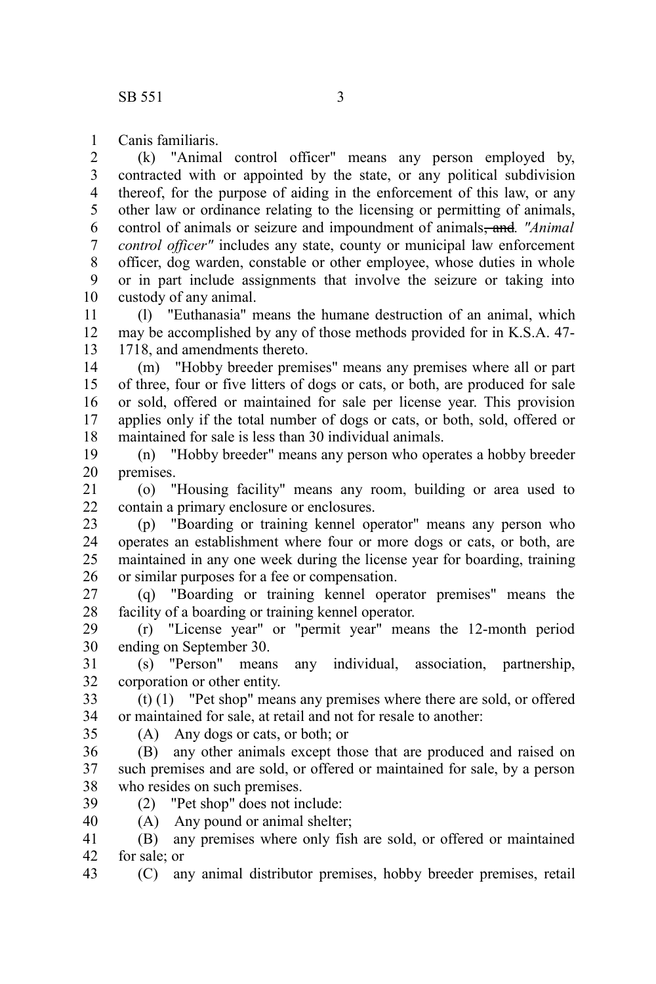Canis familiaris. 1

(k) "Animal control officer" means any person employed by, contracted with or appointed by the state, or any political subdivision thereof, for the purpose of aiding in the enforcement of this law, or any other law or ordinance relating to the licensing or permitting of animals, control of animals or seizure and impoundment of animals, and*. "Animal control officer"* includes any state, county or municipal law enforcement officer, dog warden, constable or other employee, whose duties in whole or in part include assignments that involve the seizure or taking into custody of any animal. 2 3 4 5 6 7 8 9 10

(l) "Euthanasia" means the humane destruction of an animal, which may be accomplished by any of those methods provided for in K.S.A. 47- 1718, and amendments thereto. 11 12 13

(m) "Hobby breeder premises" means any premises where all or part of three, four or five litters of dogs or cats, or both, are produced for sale or sold, offered or maintained for sale per license year. This provision applies only if the total number of dogs or cats, or both, sold, offered or maintained for sale is less than 30 individual animals. 14 15 16 17 18

(n) "Hobby breeder" means any person who operates a hobby breeder premises. 19 20

(o) "Housing facility" means any room, building or area used to contain a primary enclosure or enclosures. 21 22

(p) "Boarding or training kennel operator" means any person who operates an establishment where four or more dogs or cats, or both, are maintained in any one week during the license year for boarding, training or similar purposes for a fee or compensation. 23 24 25 26

(q) "Boarding or training kennel operator premises" means the facility of a boarding or training kennel operator. 27 28

(r) "License year" or "permit year" means the 12-month period ending on September 30. 29 30

(s) "Person" means any individual, association, partnership, corporation or other entity. 31 32

(t) (1) "Pet shop" means any premises where there are sold, or offered or maintained for sale, at retail and not for resale to another: 33 34

35

(A) Any dogs or cats, or both; or

(B) any other animals except those that are produced and raised on such premises and are sold, or offered or maintained for sale, by a person who resides on such premises. 36 37 38

(2) "Pet shop" does not include: 39 40

(A) Any pound or animal shelter;

(B) any premises where only fish are sold, or offered or maintained for sale; or 41 42

(C) any animal distributor premises, hobby breeder premises, retail 43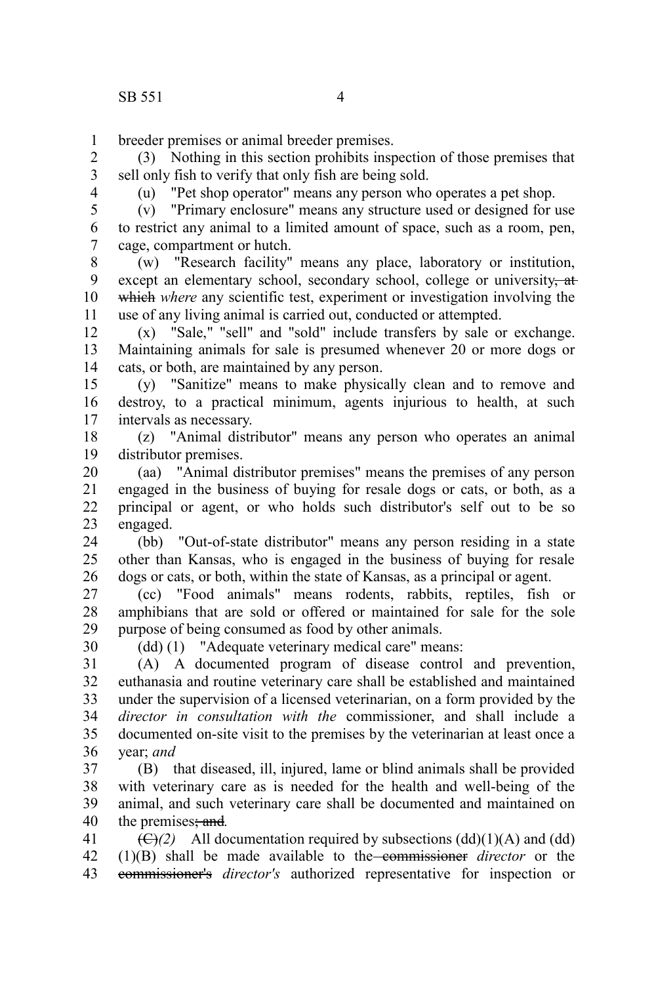breeder premises or animal breeder premises. 1

(3) Nothing in this section prohibits inspection of those premises that sell only fish to verify that only fish are being sold. 2 3

4

(u) "Pet shop operator" means any person who operates a pet shop.

(v) "Primary enclosure" means any structure used or designed for use to restrict any animal to a limited amount of space, such as a room, pen, cage, compartment or hutch. 5 6 7

(w) "Research facility" means any place, laboratory or institution, except an elementary school, secondary school, college or university, at which where any scientific test, experiment or investigation involving the use of any living animal is carried out, conducted or attempted. 8 9 10 11

(x) "Sale," "sell" and "sold" include transfers by sale or exchange. Maintaining animals for sale is presumed whenever 20 or more dogs or cats, or both, are maintained by any person. 12 13 14

(y) "Sanitize" means to make physically clean and to remove and destroy, to a practical minimum, agents injurious to health, at such intervals as necessary. 15 16 17

(z) "Animal distributor" means any person who operates an animal distributor premises. 18 19

(aa) "Animal distributor premises" means the premises of any person engaged in the business of buying for resale dogs or cats, or both, as a principal or agent, or who holds such distributor's self out to be so engaged. 20 21 22 23

(bb) "Out-of-state distributor" means any person residing in a state other than Kansas, who is engaged in the business of buying for resale dogs or cats, or both, within the state of Kansas, as a principal or agent. 24 25 26

(cc) "Food animals" means rodents, rabbits, reptiles, fish or amphibians that are sold or offered or maintained for sale for the sole purpose of being consumed as food by other animals. 27 28 29

30

(dd) (1) "Adequate veterinary medical care" means:

(A) A documented program of disease control and prevention, euthanasia and routine veterinary care shall be established and maintained under the supervision of a licensed veterinarian, on a form provided by the *director in consultation with the* commissioner, and shall include a documented on-site visit to the premises by the veterinarian at least once a year; *and* 31 32 33 34 35 36

(B) that diseased, ill, injured, lame or blind animals shall be provided with veterinary care as is needed for the health and well-being of the animal, and such veterinary care shall be documented and maintained on the premises; and*.* 37 38 39 40

 $(\bigoplus)(2)$  All documentation required by subsections  $(dd)(1)(A)$  and  $(dd)$ (1)(B) shall be made available to the commissioner *director* or the commissioner's *director's* authorized representative for inspection or 41 42 43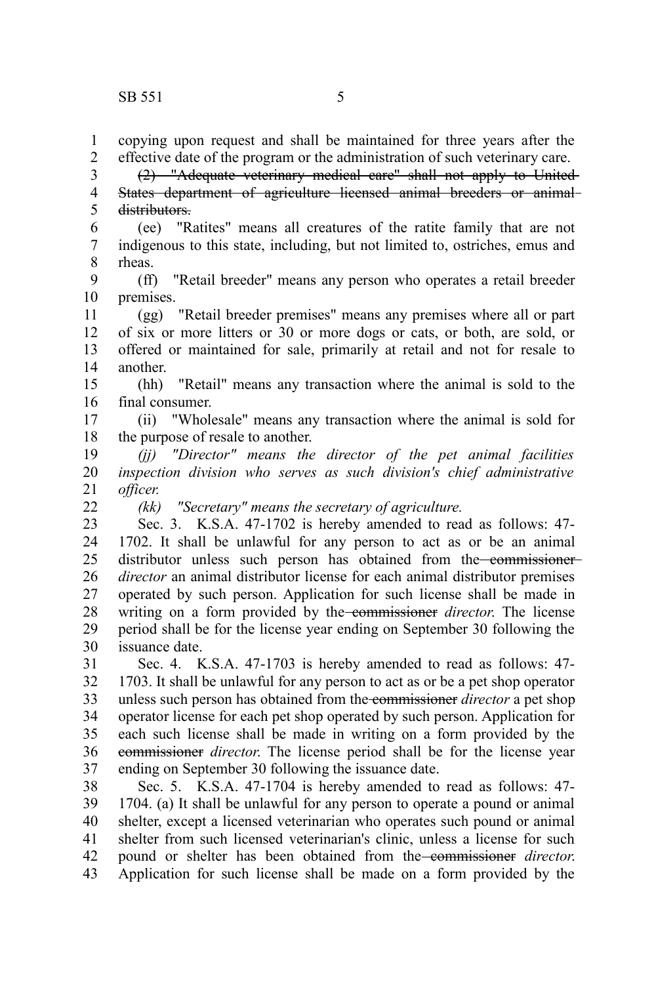$22$ 

copying upon request and shall be maintained for three years after the effective date of the program or the administration of such veterinary care. 1 2

(2) "Adequate veterinary medical care" shall not apply to United States department of agriculture licensed animal breeders or animal distributors. 3 4 5

(ee) "Ratites" means all creatures of the ratite family that are not indigenous to this state, including, but not limited to, ostriches, emus and rheas. 6 7 8

(ff) "Retail breeder" means any person who operates a retail breeder premises. 9 10

(gg) "Retail breeder premises" means any premises where all or part of six or more litters or 30 or more dogs or cats, or both, are sold, or offered or maintained for sale, primarily at retail and not for resale to another. 11 12 13 14

(hh) "Retail" means any transaction where the animal is sold to the final consumer. 15 16

(ii) "Wholesale" means any transaction where the animal is sold for the purpose of resale to another. 17 18

*(jj) "Director" means the director of the pet animal facilities inspection division who serves as such division's chief administrative officer.* 19 20 21

*(kk) "Secretary" means the secretary of agriculture.*

Sec. 3. K.S.A. 47-1702 is hereby amended to read as follows: 47- 1702. It shall be unlawful for any person to act as or be an animal distributor unless such person has obtained from the commissioner*director* an animal distributor license for each animal distributor premises operated by such person. Application for such license shall be made in writing on a form provided by the commissioner *director*. The license period shall be for the license year ending on September 30 following the issuance date. 23 24 25 26 27 28 29 30

Sec. 4. K.S.A. 47-1703 is hereby amended to read as follows: 47- 1703. It shall be unlawful for any person to act as or be a pet shop operator unless such person has obtained from the commissioner *director* a pet shop operator license for each pet shop operated by such person. Application for each such license shall be made in writing on a form provided by the commissioner *director*. The license period shall be for the license year ending on September 30 following the issuance date. 31 32 33 34 35 36 37

Sec. 5. K.S.A. 47-1704 is hereby amended to read as follows: 47- 1704. (a) It shall be unlawful for any person to operate a pound or animal shelter, except a licensed veterinarian who operates such pound or animal shelter from such licensed veterinarian's clinic, unless a license for such pound or shelter has been obtained from the commissioner *director*. Application for such license shall be made on a form provided by the 38 39 40 41 42 43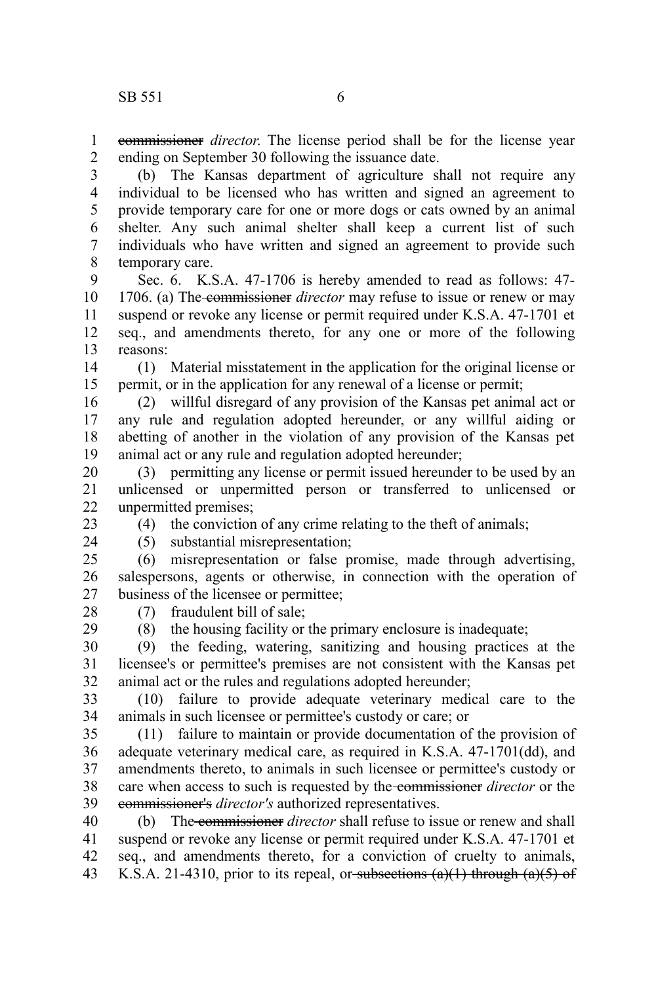commissioner *director*. The license period shall be for the license year ending on September 30 following the issuance date. 1 2

(b) The Kansas department of agriculture shall not require any individual to be licensed who has written and signed an agreement to provide temporary care for one or more dogs or cats owned by an animal shelter. Any such animal shelter shall keep a current list of such individuals who have written and signed an agreement to provide such temporary care. 3 4 5 6 7 8

Sec. 6. K.S.A. 47-1706 is hereby amended to read as follows: 47- 1706. (a) The commissioner *director* may refuse to issue or renew or may suspend or revoke any license or permit required under K.S.A. 47-1701 et seq., and amendments thereto, for any one or more of the following reasons: 9 10 11 12 13

(1) Material misstatement in the application for the original license or permit, or in the application for any renewal of a license or permit; 14 15

(2) willful disregard of any provision of the Kansas pet animal act or any rule and regulation adopted hereunder, or any willful aiding or abetting of another in the violation of any provision of the Kansas pet animal act or any rule and regulation adopted hereunder; 16 17 18 19

(3) permitting any license or permit issued hereunder to be used by an unlicensed or unpermitted person or transferred to unlicensed or unpermitted premises; 20 21 22

23 24

28 29 (4) the conviction of any crime relating to the theft of animals;

(5) substantial misrepresentation;

(6) misrepresentation or false promise, made through advertising, salespersons, agents or otherwise, in connection with the operation of business of the licensee or permittee;  $25$ 26 27

(7) fraudulent bill of sale;

(8) the housing facility or the primary enclosure is inadequate;

(9) the feeding, watering, sanitizing and housing practices at the licensee's or permittee's premises are not consistent with the Kansas pet animal act or the rules and regulations adopted hereunder; 30 31 32

(10) failure to provide adequate veterinary medical care to the animals in such licensee or permittee's custody or care; or 33 34

(11) failure to maintain or provide documentation of the provision of adequate veterinary medical care, as required in K.S.A. 47-1701(dd), and amendments thereto, to animals in such licensee or permittee's custody or care when access to such is requested by the commissioner *director* or the commissioner's *director's* authorized representatives. 35 36 37 38 39

(b) The commissioner *director* shall refuse to issue or renew and shall suspend or revoke any license or permit required under K.S.A. 47-1701 et seq., and amendments thereto, for a conviction of cruelty to animals, K.S.A. 21-4310, prior to its repeal, or subsections  $(a)(1)$  through  $(a)(5)$  of 40 41 42 43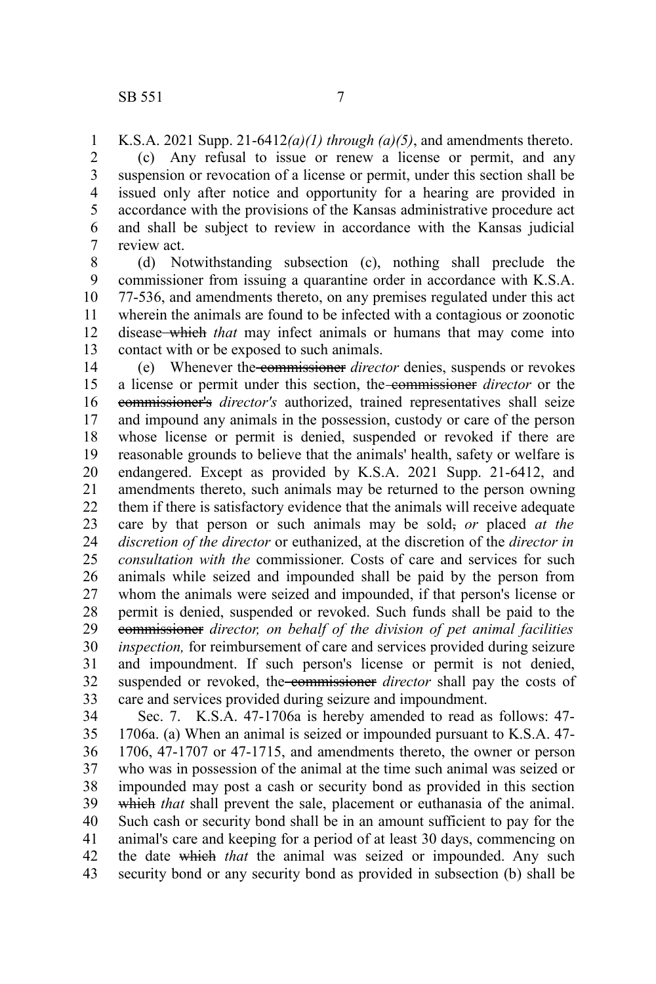K.S.A. 2021 Supp. 21-6412*(a)(1) through (a)(5)*, and amendments thereto. (c) Any refusal to issue or renew a license or permit, and any suspension or revocation of a license or permit, under this section shall be issued only after notice and opportunity for a hearing are provided in accordance with the provisions of the Kansas administrative procedure act and shall be subject to review in accordance with the Kansas judicial review act. 1 2 3 4 5 6 7

(d) Notwithstanding subsection (c), nothing shall preclude the commissioner from issuing a quarantine order in accordance with K.S.A. 77-536, and amendments thereto, on any premises regulated under this act wherein the animals are found to be infected with a contagious or zoonotic disease which *that* may infect animals or humans that may come into contact with or be exposed to such animals. 8 9 10 11 12 13

(e) Whenever the commissioner *director* denies, suspends or revokes a license or permit under this section, the commissioner *director* or the commissioner's *director's* authorized, trained representatives shall seize and impound any animals in the possession, custody or care of the person whose license or permit is denied, suspended or revoked if there are reasonable grounds to believe that the animals' health, safety or welfare is endangered. Except as provided by K.S.A. 2021 Supp. 21-6412, and amendments thereto, such animals may be returned to the person owning them if there is satisfactory evidence that the animals will receive adequate care by that person or such animals may be sold, *or* placed *at the discretion of the director* or euthanized, at the discretion of the *director in consultation with the* commissioner. Costs of care and services for such animals while seized and impounded shall be paid by the person from whom the animals were seized and impounded, if that person's license or permit is denied, suspended or revoked. Such funds shall be paid to the commissioner *director, on behalf of the division of pet animal facilities inspection,* for reimbursement of care and services provided during seizure and impoundment. If such person's license or permit is not denied, suspended or revoked, the commissioner director shall pay the costs of care and services provided during seizure and impoundment. 14 15 16 17 18 19 20 21 22 23 24 25 26 27 28 29 30 31 32 33

Sec. 7. K.S.A. 47-1706a is hereby amended to read as follows: 47- 1706a. (a) When an animal is seized or impounded pursuant to K.S.A. 47- 1706, 47-1707 or 47-1715, and amendments thereto, the owner or person who was in possession of the animal at the time such animal was seized or impounded may post a cash or security bond as provided in this section which *that* shall prevent the sale, placement or euthanasia of the animal. Such cash or security bond shall be in an amount sufficient to pay for the animal's care and keeping for a period of at least 30 days, commencing on the date which *that* the animal was seized or impounded. Any such security bond or any security bond as provided in subsection (b) shall be 34 35 36 37 38 39 40 41 42 43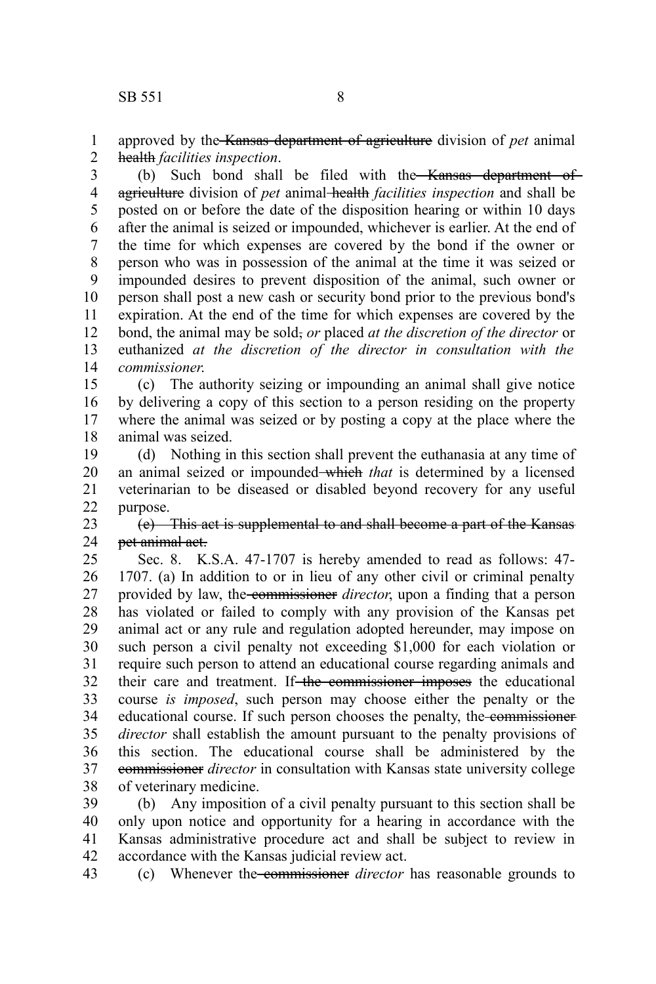approved by the Kansas department of agriculture division of *pet* animal health *facilities inspection*. 1 2

(b) Such bond shall be filed with the Kansas department of agriculture division of *pet* animal health *facilities inspection* and shall be posted on or before the date of the disposition hearing or within 10 days after the animal is seized or impounded, whichever is earlier. At the end of the time for which expenses are covered by the bond if the owner or person who was in possession of the animal at the time it was seized or impounded desires to prevent disposition of the animal, such owner or person shall post a new cash or security bond prior to the previous bond's expiration. At the end of the time for which expenses are covered by the bond, the animal may be sold, *or* placed *at the discretion of the director* or euthanized *at the discretion of the director in consultation with the commissioner*. 3 4 5 6 7 8 9 10 11 12 13 14

(c) The authority seizing or impounding an animal shall give notice by delivering a copy of this section to a person residing on the property where the animal was seized or by posting a copy at the place where the animal was seized. 15 16 17 18

(d) Nothing in this section shall prevent the euthanasia at any time of an animal seized or impounded which *that* is determined by a licensed veterinarian to be diseased or disabled beyond recovery for any useful purpose. 19 20 21 22

(e) This act is supplemental to and shall become a part of the Kansas pet animal act. 23 24

Sec. 8. K.S.A. 47-1707 is hereby amended to read as follows: 47- 1707. (a) In addition to or in lieu of any other civil or criminal penalty provided by law, the commissioner *director*, upon a finding that a person has violated or failed to comply with any provision of the Kansas pet animal act or any rule and regulation adopted hereunder, may impose on such person a civil penalty not exceeding \$1,000 for each violation or require such person to attend an educational course regarding animals and their care and treatment. If the commissioner imposes the educational course *is imposed*, such person may choose either the penalty or the educational course. If such person chooses the penalty, the commissioner *director* shall establish the amount pursuant to the penalty provisions of this section. The educational course shall be administered by the commissioner *director* in consultation with Kansas state university college of veterinary medicine. 25 26 27 28 29 30 31 32 33 34 35 36 37 38

(b) Any imposition of a civil penalty pursuant to this section shall be only upon notice and opportunity for a hearing in accordance with the Kansas administrative procedure act and shall be subject to review in accordance with the Kansas judicial review act. 39 40 41 42

(c) Whenever the commissioner *director* has reasonable grounds to 43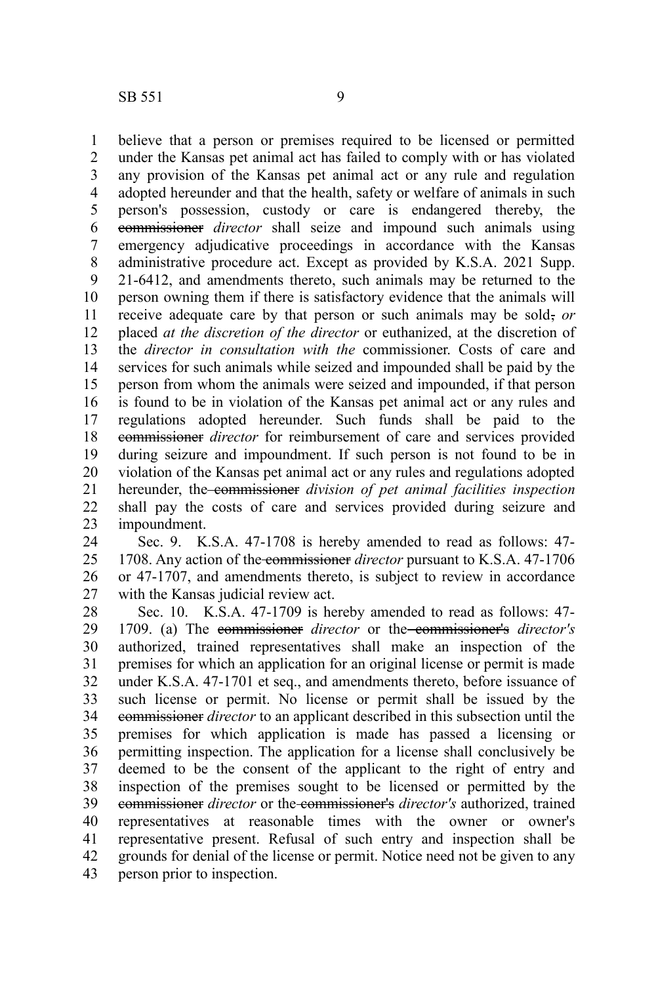believe that a person or premises required to be licensed or permitted under the Kansas pet animal act has failed to comply with or has violated any provision of the Kansas pet animal act or any rule and regulation adopted hereunder and that the health, safety or welfare of animals in such person's possession, custody or care is endangered thereby, the commissioner *director* shall seize and impound such animals using emergency adjudicative proceedings in accordance with the Kansas administrative procedure act. Except as provided by K.S.A. 2021 Supp. 21-6412, and amendments thereto, such animals may be returned to the person owning them if there is satisfactory evidence that the animals will receive adequate care by that person or such animals may be sold, or placed *at the discretion of the director* or euthanized, at the discretion of the *director in consultation with the* commissioner. Costs of care and services for such animals while seized and impounded shall be paid by the person from whom the animals were seized and impounded, if that person is found to be in violation of the Kansas pet animal act or any rules and regulations adopted hereunder. Such funds shall be paid to the commissioner *director* for reimbursement of care and services provided during seizure and impoundment. If such person is not found to be in violation of the Kansas pet animal act or any rules and regulations adopted hereunder, the commissioner division of pet animal facilities inspection shall pay the costs of care and services provided during seizure and impoundment. 1 2 3 4 5 6 7 8 9 10 11 12 13 14 15 16 17 18 19 20 21 22 23

Sec. 9. K.S.A. 47-1708 is hereby amended to read as follows: 47- 1708. Any action of the commissioner *director* pursuant to K.S.A. 47-1706 or 47-1707, and amendments thereto, is subject to review in accordance with the Kansas judicial review act. 24 25 26 27

Sec. 10. K.S.A. 47-1709 is hereby amended to read as follows: 47- 1709. (a) The commissioner *director* or the commissioner's *director's* authorized, trained representatives shall make an inspection of the premises for which an application for an original license or permit is made under K.S.A. 47-1701 et seq., and amendments thereto, before issuance of such license or permit. No license or permit shall be issued by the commissioner *director* to an applicant described in this subsection until the premises for which application is made has passed a licensing or permitting inspection. The application for a license shall conclusively be deemed to be the consent of the applicant to the right of entry and inspection of the premises sought to be licensed or permitted by the commissioner *director* or the commissioner's *director's* authorized, trained representatives at reasonable times with the owner or owner's representative present. Refusal of such entry and inspection shall be grounds for denial of the license or permit. Notice need not be given to any person prior to inspection. 28 29 30 31 32 33 34 35 36 37 38 39 40 41 42 43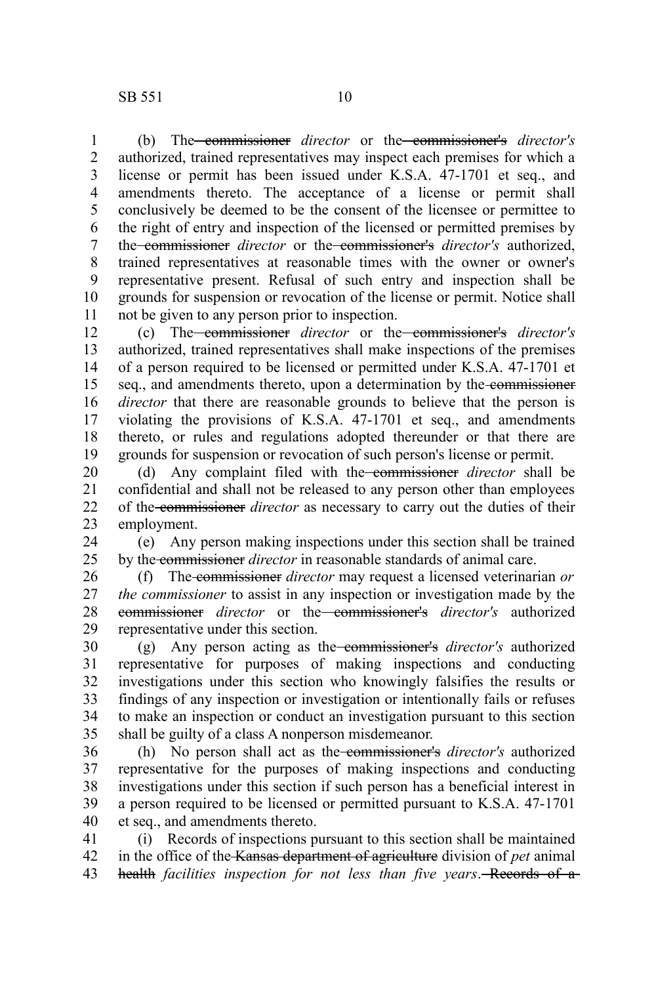(b) The commissioner *director* or the commissioner's *director's* authorized, trained representatives may inspect each premises for which a license or permit has been issued under K.S.A. 47-1701 et seq., and amendments thereto. The acceptance of a license or permit shall conclusively be deemed to be the consent of the licensee or permittee to the right of entry and inspection of the licensed or permitted premises by the commissioner *director* or the commissioner's *director's* authorized, trained representatives at reasonable times with the owner or owner's representative present. Refusal of such entry and inspection shall be grounds for suspension or revocation of the license or permit. Notice shall not be given to any person prior to inspection. 1 2 3 4 5 6 7 8 9 10 11

(c) The commissioner *director* or the commissioner's *director's* authorized, trained representatives shall make inspections of the premises of a person required to be licensed or permitted under K.S.A. 47-1701 et seq., and amendments thereto, upon a determination by the commissioner *director* that there are reasonable grounds to believe that the person is violating the provisions of K.S.A. 47-1701 et seq., and amendments thereto, or rules and regulations adopted thereunder or that there are grounds for suspension or revocation of such person's license or permit. 12 13 14 15 16 17 18 19

(d) Any complaint filed with the commissioner *director* shall be confidential and shall not be released to any person other than employees of the commissioner *director* as necessary to carry out the duties of their employment. 20 21 22 23

(e) Any person making inspections under this section shall be trained by the commissioner *director* in reasonable standards of animal care. 24 25

(f) The commissioner *director* may request a licensed veterinarian *or the commissioner* to assist in any inspection or investigation made by the commissioner *director* or the commissioner's *director's* authorized representative under this section. 26 27 28 29

(g) Any person acting as the commissioner's *director's* authorized representative for purposes of making inspections and conducting investigations under this section who knowingly falsifies the results or findings of any inspection or investigation or intentionally fails or refuses to make an inspection or conduct an investigation pursuant to this section shall be guilty of a class A nonperson misdemeanor. 30 31 32 33 34 35

(h) No person shall act as the commissioner's *director's* authorized representative for the purposes of making inspections and conducting investigations under this section if such person has a beneficial interest in a person required to be licensed or permitted pursuant to K.S.A. 47-1701 et seq., and amendments thereto. 36 37 38 39 40

(i) Records of inspections pursuant to this section shall be maintained in the office of the Kansas department of agriculture division of *pet* animal health *facilities inspection for not less than five years*. Records of a 41 42 43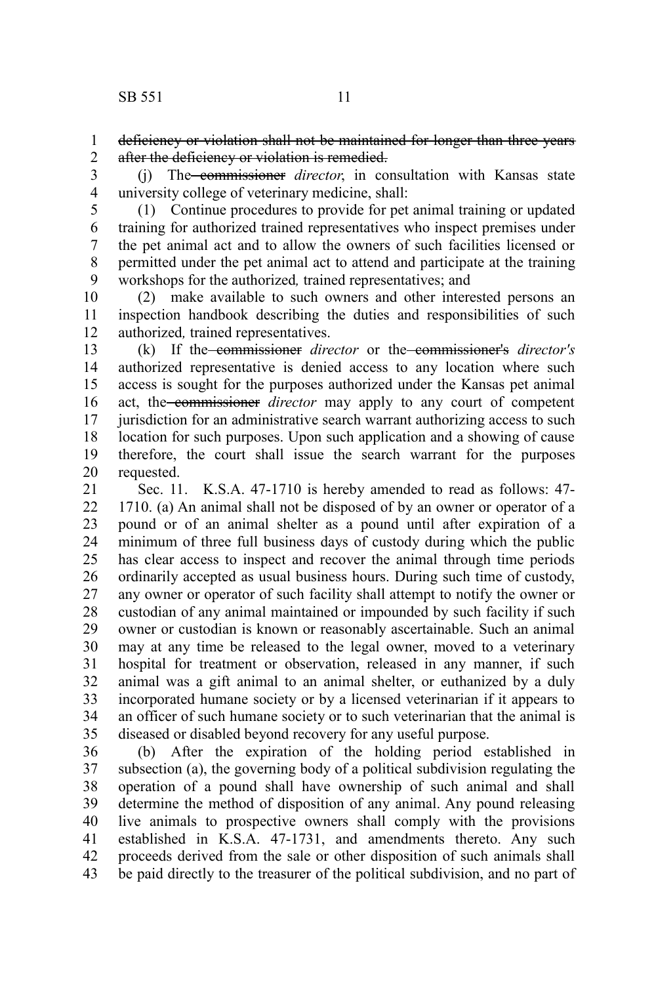deficiency or violation shall not be maintained for longer than three years after the deficiency or violation is remedied. 1 2

(j) The commissioner *director*, in consultation with Kansas state university college of veterinary medicine, shall: 3 4

5

(1) Continue procedures to provide for pet animal training or updated training for authorized trained representatives who inspect premises under the pet animal act and to allow the owners of such facilities licensed or permitted under the pet animal act to attend and participate at the training workshops for the authorized*,* trained representatives; and 6 7 8 9

(2) make available to such owners and other interested persons an inspection handbook describing the duties and responsibilities of such authorized*,* trained representatives. 10 11 12

(k) If the commissioner *director* or the commissioner's *director's* authorized representative is denied access to any location where such access is sought for the purposes authorized under the Kansas pet animal act, the commissioner *director* may apply to any court of competent jurisdiction for an administrative search warrant authorizing access to such location for such purposes. Upon such application and a showing of cause therefore, the court shall issue the search warrant for the purposes requested. 13 14 15 16 17 18 19 20

Sec. 11. K.S.A. 47-1710 is hereby amended to read as follows: 47- 1710. (a) An animal shall not be disposed of by an owner or operator of a pound or of an animal shelter as a pound until after expiration of a minimum of three full business days of custody during which the public has clear access to inspect and recover the animal through time periods ordinarily accepted as usual business hours. During such time of custody, any owner or operator of such facility shall attempt to notify the owner or custodian of any animal maintained or impounded by such facility if such owner or custodian is known or reasonably ascertainable. Such an animal may at any time be released to the legal owner, moved to a veterinary hospital for treatment or observation, released in any manner, if such animal was a gift animal to an animal shelter, or euthanized by a duly incorporated humane society or by a licensed veterinarian if it appears to an officer of such humane society or to such veterinarian that the animal is diseased or disabled beyond recovery for any useful purpose. 21 22 23 24 25 26 27 28 29 30 31 32 33 34 35

(b) After the expiration of the holding period established in subsection (a), the governing body of a political subdivision regulating the operation of a pound shall have ownership of such animal and shall determine the method of disposition of any animal. Any pound releasing live animals to prospective owners shall comply with the provisions established in K.S.A. 47-1731, and amendments thereto. Any such proceeds derived from the sale or other disposition of such animals shall be paid directly to the treasurer of the political subdivision, and no part of 36 37 38 39 40 41 42 43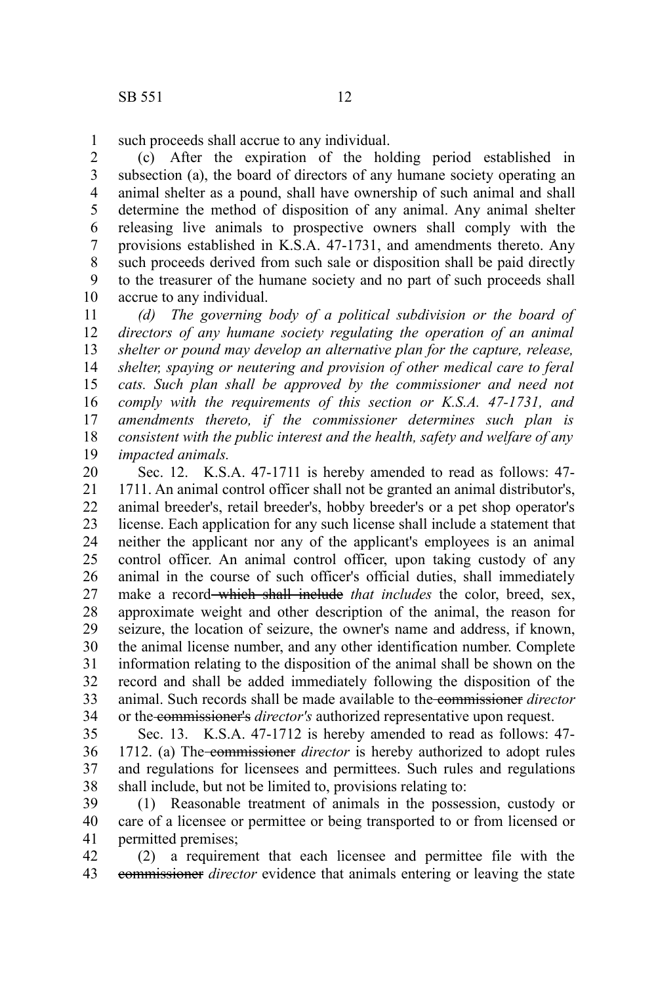such proceeds shall accrue to any individual. 1

(c) After the expiration of the holding period established in subsection (a), the board of directors of any humane society operating an animal shelter as a pound, shall have ownership of such animal and shall determine the method of disposition of any animal. Any animal shelter releasing live animals to prospective owners shall comply with the provisions established in K.S.A. 47-1731, and amendments thereto. Any such proceeds derived from such sale or disposition shall be paid directly to the treasurer of the humane society and no part of such proceeds shall accrue to any individual. 2 3 4 5 6 7 8 9 10

*(d) The governing body of a political subdivision or the board of directors of any humane society regulating the operation of an animal shelter or pound may develop an alternative plan for the capture, release, shelter, spaying or neutering and provision of other medical care to feral cats. Such plan shall be approved by the commissioner and need not comply with the requirements of this section or K.S.A. 47-1731, and amendments thereto, if the commissioner determines such plan is consistent with the public interest and the health, safety and welfare of any impacted animals.* 11 12 13 14 15 16 17 18 19

Sec. 12. K.S.A. 47-1711 is hereby amended to read as follows: 47- 1711. An animal control officer shall not be granted an animal distributor's, animal breeder's, retail breeder's, hobby breeder's or a pet shop operator's license. Each application for any such license shall include a statement that neither the applicant nor any of the applicant's employees is an animal control officer. An animal control officer, upon taking custody of any animal in the course of such officer's official duties, shall immediately make a record which shall include *that includes* the color, breed, sex, approximate weight and other description of the animal, the reason for seizure, the location of seizure, the owner's name and address, if known, the animal license number, and any other identification number. Complete information relating to the disposition of the animal shall be shown on the record and shall be added immediately following the disposition of the animal. Such records shall be made available to the commissioner *director* or the commissioner's *director's* authorized representative upon request. 20 21 22 23 24 25 26 27 28 29 30 31 32 33 34

Sec. 13. K.S.A. 47-1712 is hereby amended to read as follows: 47- 1712. (a) The-commissioner *director* is hereby authorized to adopt rules and regulations for licensees and permittees. Such rules and regulations shall include, but not be limited to, provisions relating to: 35 36 37 38

(1) Reasonable treatment of animals in the possession, custody or care of a licensee or permittee or being transported to or from licensed or permitted premises; 39 40 41

(2) a requirement that each licensee and permittee file with the commissioner *director* evidence that animals entering or leaving the state 42 43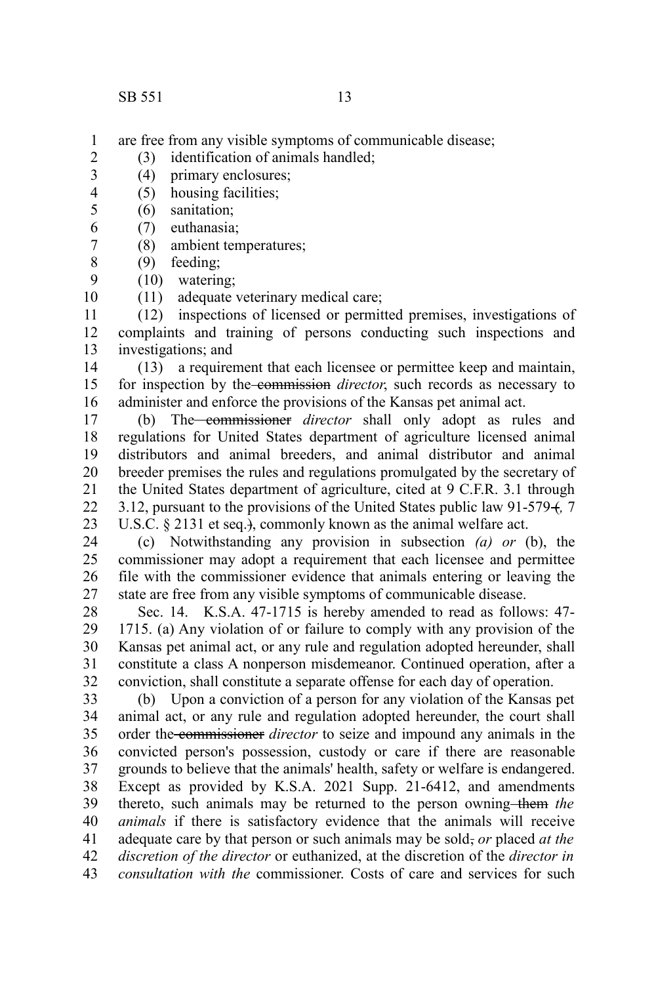3

6

are free from any visible symptoms of communicable disease; 1

- (3) identification of animals handled; 2
	- (4) primary enclosures;
- (5) housing facilities; 4
- (6) sanitation; 5
	- (7) euthanasia;
- (8) ambient temperatures; 7
- (9) feeding; 8
- (10) watering; 9
- (11) adequate veterinary medical care; 10

(12) inspections of licensed or permitted premises, investigations of complaints and training of persons conducting such inspections and investigations; and 11 12 13

(13) a requirement that each licensee or permittee keep and maintain, for inspection by the commission *director*, such records as necessary to administer and enforce the provisions of the Kansas pet animal act. 14 15 16

(b) The commissioner *director* shall only adopt as rules and regulations for United States department of agriculture licensed animal distributors and animal breeders, and animal distributor and animal breeder premises the rules and regulations promulgated by the secretary of the United States department of agriculture, cited at 9 C.F.R. 3.1 through 3.12, pursuant to the provisions of the United States public law 91-579 (*,* 7 U.S.C. § 2131 et seq.}, commonly known as the animal welfare act. 17 18 19 20 21 22 23

(c) Notwithstanding any provision in subsection *(a) or* (b), the commissioner may adopt a requirement that each licensee and permittee file with the commissioner evidence that animals entering or leaving the state are free from any visible symptoms of communicable disease. 24  $25$ 26 27

Sec. 14. K.S.A. 47-1715 is hereby amended to read as follows: 47- 1715. (a) Any violation of or failure to comply with any provision of the Kansas pet animal act, or any rule and regulation adopted hereunder, shall constitute a class A nonperson misdemeanor. Continued operation, after a conviction, shall constitute a separate offense for each day of operation. 28 29 30 31 32

(b) Upon a conviction of a person for any violation of the Kansas pet animal act, or any rule and regulation adopted hereunder, the court shall order the commissioner *director* to seize and impound any animals in the convicted person's possession, custody or care if there are reasonable grounds to believe that the animals' health, safety or welfare is endangered. Except as provided by K.S.A. 2021 Supp. 21-6412, and amendments thereto, such animals may be returned to the person owning-them the *animals* if there is satisfactory evidence that the animals will receive adequate care by that person or such animals may be sold, *or* placed *at the discretion of the director* or euthanized, at the discretion of the *director in consultation with the* commissioner. Costs of care and services for such 33 34 35 36 37 38 39 40 41 42 43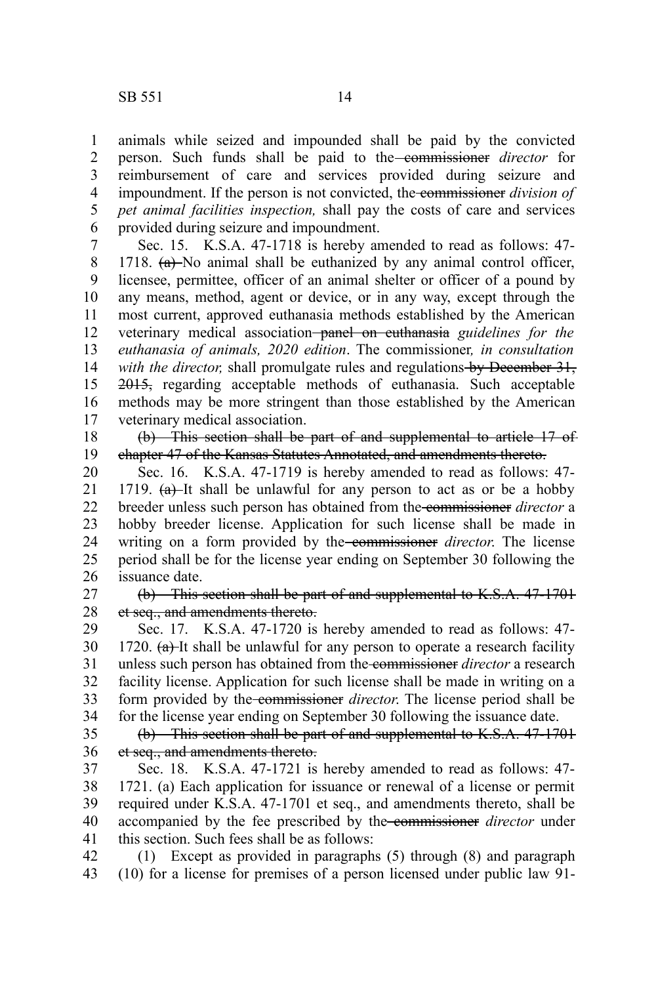animals while seized and impounded shall be paid by the convicted person. Such funds shall be paid to the commissioner *director* for reimbursement of care and services provided during seizure and impoundment. If the person is not convicted, the commissioner *division of pet animal facilities inspection,* shall pay the costs of care and services provided during seizure and impoundment. 1 2 3 4 5 6

Sec. 15. K.S.A. 47-1718 is hereby amended to read as follows: 47- 1718.  $(a)$ -No animal shall be euthanized by any animal control officer, licensee, permittee, officer of an animal shelter or officer of a pound by any means, method, agent or device, or in any way, except through the most current, approved euthanasia methods established by the American veterinary medical association panel on euthanasia *guidelines for the euthanasia of animals, 2020 edition*. The commissioner*, in consultation with the director,* shall promulgate rules and regulations by December 31, 2015, regarding acceptable methods of euthanasia. Such acceptable methods may be more stringent than those established by the American veterinary medical association. 7 8 9 10 11 12 13 14 15 16 17

(b) This section shall be part of and supplemental to article 17 of chapter 47 of the Kansas Statutes Annotated, and amendments thereto. 18 19

Sec. 16. K.S.A. 47-1719 is hereby amended to read as follows: 47- 1719.  $(a)$ -It shall be unlawful for any person to act as or be a hobby breeder unless such person has obtained from the commissioner *director* a hobby breeder license. Application for such license shall be made in writing on a form provided by the commissioner *director*. The license period shall be for the license year ending on September 30 following the issuance date. 20 21 22 23 24 25 26

(b) This section shall be part of and supplemental to K.S.A. 47-1701 et seq., and amendments thereto. 27 28

Sec. 17. K.S.A. 47-1720 is hereby amended to read as follows: 47- 1720.  $(a)$ -It shall be unlawful for any person to operate a research facility unless such person has obtained from the commissioner *director* a research facility license. Application for such license shall be made in writing on a form provided by the commissioner *director*. The license period shall be for the license year ending on September 30 following the issuance date. 29 30 31 32 33 34

(b) This section shall be part of and supplemental to K.S.A. 47-1701 et seq., and amendments thereto. 35 36

Sec. 18. K.S.A. 47-1721 is hereby amended to read as follows: 47- 1721. (a) Each application for issuance or renewal of a license or permit required under K.S.A. 47-1701 et seq., and amendments thereto, shall be accompanied by the fee prescribed by the commissioner *director* under this section. Such fees shall be as follows: 37 38 39 40 41

(1) Except as provided in paragraphs (5) through (8) and paragraph (10) for a license for premises of a person licensed under public law 91- 42 43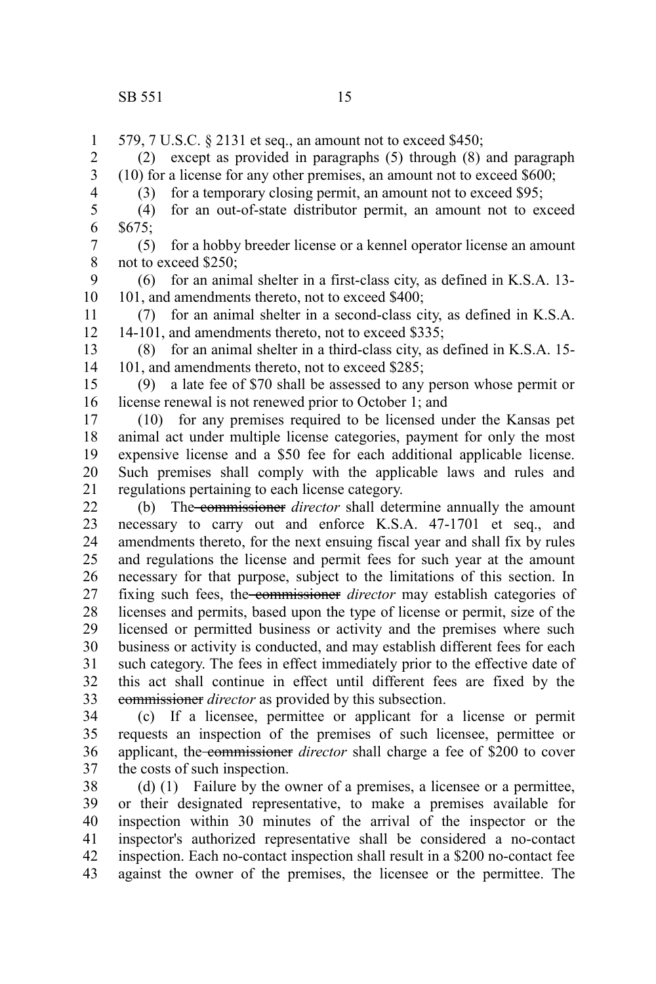579, 7 U.S.C. § 2131 et seq., an amount not to exceed \$450; (2) except as provided in paragraphs (5) through (8) and paragraph (10) for a license for any other premises, an amount not to exceed \$600; (3) for a temporary closing permit, an amount not to exceed \$95; (4) for an out-of-state distributor permit, an amount not to exceed  $$675;$ (5) for a hobby breeder license or a kennel operator license an amount not to exceed \$250; (6) for an animal shelter in a first-class city, as defined in K.S.A. 13- 101, and amendments thereto, not to exceed \$400; (7) for an animal shelter in a second-class city, as defined in K.S.A. 14-101, and amendments thereto, not to exceed \$335; (8) for an animal shelter in a third-class city, as defined in K.S.A. 15- 101, and amendments thereto, not to exceed \$285; (9) a late fee of \$70 shall be assessed to any person whose permit or license renewal is not renewed prior to October 1; and (10) for any premises required to be licensed under the Kansas pet animal act under multiple license categories, payment for only the most expensive license and a \$50 fee for each additional applicable license. Such premises shall comply with the applicable laws and rules and regulations pertaining to each license category. (b) The commissioner *director* shall determine annually the amount necessary to carry out and enforce K.S.A. 47-1701 et seq., and amendments thereto, for the next ensuing fiscal year and shall fix by rules and regulations the license and permit fees for such year at the amount necessary for that purpose, subject to the limitations of this section. In fixing such fees, the commissioner *director* may establish categories of licenses and permits, based upon the type of license or permit, size of the licensed or permitted business or activity and the premises where such business or activity is conducted, and may establish different fees for each such category. The fees in effect immediately prior to the effective date of this act shall continue in effect until different fees are fixed by the commissioner *director* as provided by this subsection. (c) If a licensee, permittee or applicant for a license or permit requests an inspection of the premises of such licensee, permittee or applicant, the commissioner *director* shall charge a fee of \$200 to cover the costs of such inspection. (d) (1) Failure by the owner of a premises, a licensee or a permittee, or their designated representative, to make a premises available for inspection within 30 minutes of the arrival of the inspector or the inspector's authorized representative shall be considered a no-contact inspection. Each no-contact inspection shall result in a \$200 no-contact fee against the owner of the premises, the licensee or the permittee. The 1 2 3 4 5 6 7 8 9 10 11 12 13 14 15 16 17 18 19 20 21 22 23 24 25 26 27 28 29 30 31 32 33 34 35 36 37 38 39 40 41 42 43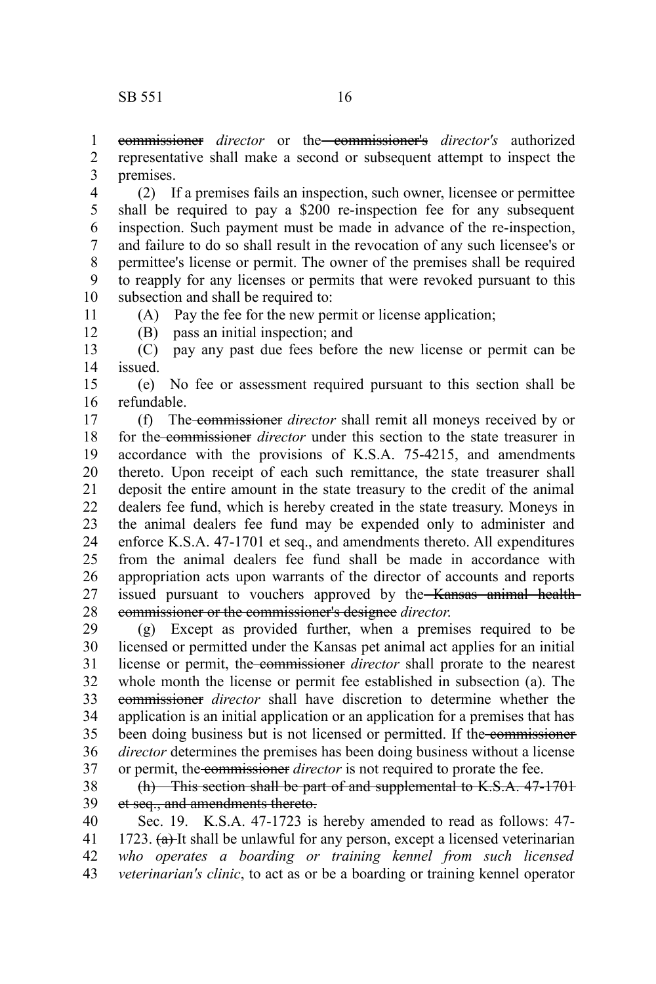commissioner *director* or the commissioner's *director's* authorized representative shall make a second or subsequent attempt to inspect the premises. 1 2 3

(2) If a premises fails an inspection, such owner, licensee or permittee shall be required to pay a \$200 re-inspection fee for any subsequent inspection. Such payment must be made in advance of the re-inspection, and failure to do so shall result in the revocation of any such licensee's or permittee's license or permit. The owner of the premises shall be required to reapply for any licenses or permits that were revoked pursuant to this subsection and shall be required to: 4 5 6 7 8 9 10

11 12 (A) Pay the fee for the new permit or license application; (B) pass an initial inspection; and

(C) pay any past due fees before the new license or permit can be issued. 13 14

(e) No fee or assessment required pursuant to this section shall be refundable. 15 16

(f) The commissioner *director* shall remit all moneys received by or for the commissioner *director* under this section to the state treasurer in accordance with the provisions of K.S.A. 75-4215, and amendments thereto. Upon receipt of each such remittance, the state treasurer shall deposit the entire amount in the state treasury to the credit of the animal dealers fee fund, which is hereby created in the state treasury. Moneys in the animal dealers fee fund may be expended only to administer and enforce K.S.A. 47-1701 et seq., and amendments thereto. All expenditures from the animal dealers fee fund shall be made in accordance with appropriation acts upon warrants of the director of accounts and reports issued pursuant to vouchers approved by the Kansas animal healthcommissioner or the commissioner's designee *director*. 17 18 19 20 21 22 23 24 25 26 27 28

(g) Except as provided further, when a premises required to be licensed or permitted under the Kansas pet animal act applies for an initial license or permit, the commissioner *director* shall prorate to the nearest whole month the license or permit fee established in subsection (a). The commissioner *director* shall have discretion to determine whether the application is an initial application or an application for a premises that has been doing business but is not licensed or permitted. If the commissioner *director* determines the premises has been doing business without a license or permit, the commissioner *director* is not required to prorate the fee. 29 30 31 32 33 34 35 36 37

(h) This section shall be part of and supplemental to K.S.A. 47-1701 et seq., and amendments thereto. 38 39

Sec. 19. K.S.A. 47-1723 is hereby amended to read as follows: 47- 1723.  $(a)$ -It shall be unlawful for any person, except a licensed veterinarian *who operates a boarding or training kennel from such licensed veterinarian's clinic*, to act as or be a boarding or training kennel operator 40 41 42 43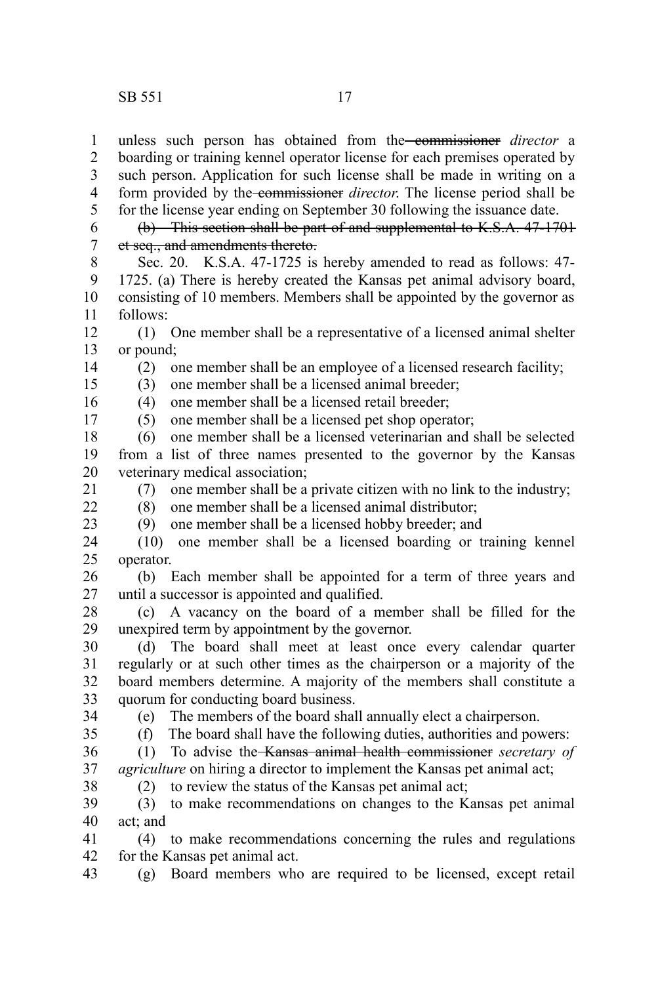unless such person has obtained from the commissioner *director* a boarding or training kennel operator license for each premises operated by such person. Application for such license shall be made in writing on a form provided by the commissioner *director*. The license period shall be for the license year ending on September 30 following the issuance date. 1 2 3 4 5

(b) This section shall be part of and supplemental to K.S.A. 47-1701 et seq., and amendments thereto. 6 7

Sec. 20. K.S.A. 47-1725 is hereby amended to read as follows: 47- 1725. (a) There is hereby created the Kansas pet animal advisory board, consisting of 10 members. Members shall be appointed by the governor as follows: 8 9 10 11

(1) One member shall be a representative of a licensed animal shelter or pound; 12 13

14 15

17

(2) one member shall be an employee of a licensed research facility;

(3) one member shall be a licensed animal breeder;

(4) one member shall be a licensed retail breeder; 16

(5) one member shall be a licensed pet shop operator;

(6) one member shall be a licensed veterinarian and shall be selected from a list of three names presented to the governor by the Kansas veterinary medical association; 18 19 20

(7) one member shall be a private citizen with no link to the industry; 21

 $22$ 23 (8) one member shall be a licensed animal distributor;

(9) one member shall be a licensed hobby breeder; and

(10) one member shall be a licensed boarding or training kennel operator. 24 25

(b) Each member shall be appointed for a term of three years and until a successor is appointed and qualified. 26 27

(c) A vacancy on the board of a member shall be filled for the unexpired term by appointment by the governor. 28 29

(d) The board shall meet at least once every calendar quarter regularly or at such other times as the chairperson or a majority of the board members determine. A majority of the members shall constitute a quorum for conducting board business. 30 31 32 33

34

(e) The members of the board shall annually elect a chairperson.

35

(f) The board shall have the following duties, authorities and powers:

(1) To advise the Kansas animal health commissioner *secretary of agriculture* on hiring a director to implement the Kansas pet animal act; 36 37 38

(2) to review the status of the Kansas pet animal act;

(3) to make recommendations on changes to the Kansas pet animal act; and 39 40

(4) to make recommendations concerning the rules and regulations for the Kansas pet animal act. 41 42

(g) Board members who are required to be licensed, except retail 43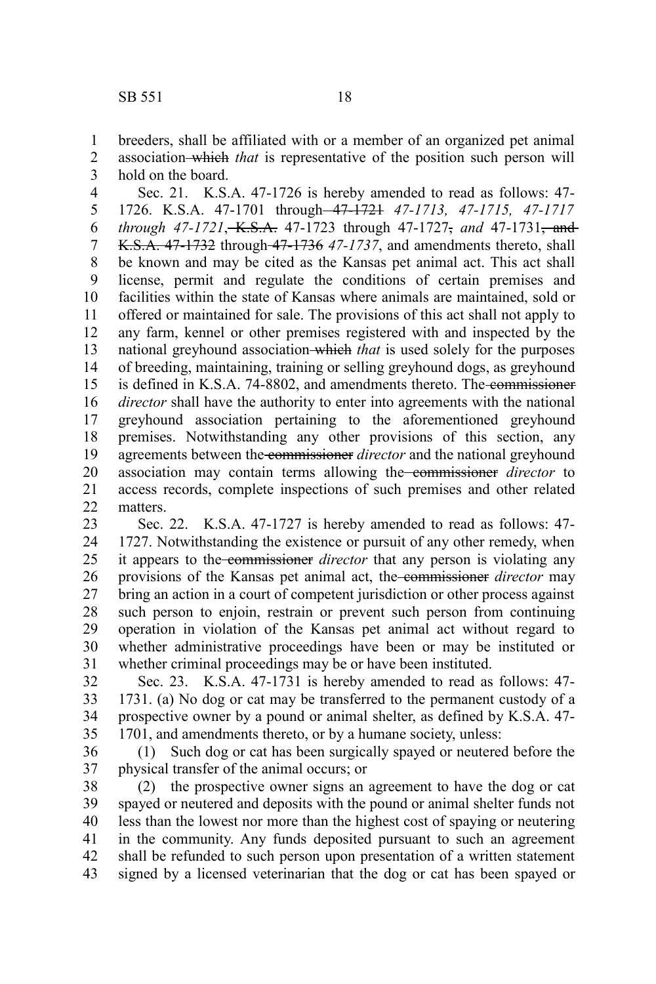breeders, shall be affiliated with or a member of an organized pet animal association which *that* is representative of the position such person will hold on the board. 1 2 3

Sec. 21. K.S.A. 47-1726 is hereby amended to read as follows: 47- 1726. K.S.A. 47-1701 through 47-1721 *47-1713, 47-1715, 47-1717 through 47-1721*, K.S.A. 47-1723 through 47-1727, *and* 47-1731, and K.S.A. 47-1732 through 47-1736 *47-1737*, and amendments thereto, shall be known and may be cited as the Kansas pet animal act. This act shall license, permit and regulate the conditions of certain premises and facilities within the state of Kansas where animals are maintained, sold or offered or maintained for sale. The provisions of this act shall not apply to any farm, kennel or other premises registered with and inspected by the national greyhound association which *that* is used solely for the purposes of breeding, maintaining, training or selling greyhound dogs, as greyhound is defined in K.S.A. 74-8802, and amendments thereto. The commissioner *director* shall have the authority to enter into agreements with the national greyhound association pertaining to the aforementioned greyhound premises. Notwithstanding any other provisions of this section, any agreements between the commissioner *director* and the national greyhound association may contain terms allowing the commissioner *director* to access records, complete inspections of such premises and other related matters. 4 5 6 7 8 9 10 11 12 13 14 15 16 17 18 19 20 21  $22$ 

Sec. 22. K.S.A. 47-1727 is hereby amended to read as follows: 47- 1727. Notwithstanding the existence or pursuit of any other remedy, when it appears to the commissioner *director* that any person is violating any provisions of the Kansas pet animal act, the commissioner *director* may bring an action in a court of competent jurisdiction or other process against such person to enjoin, restrain or prevent such person from continuing operation in violation of the Kansas pet animal act without regard to whether administrative proceedings have been or may be instituted or whether criminal proceedings may be or have been instituted. 23 24 25 26 27 28 29 30 31

Sec. 23. K.S.A. 47-1731 is hereby amended to read as follows: 47- 1731. (a) No dog or cat may be transferred to the permanent custody of a prospective owner by a pound or animal shelter, as defined by K.S.A. 47- 1701, and amendments thereto, or by a humane society, unless: 32 33 34 35

(1) Such dog or cat has been surgically spayed or neutered before the physical transfer of the animal occurs; or 36 37

(2) the prospective owner signs an agreement to have the dog or cat spayed or neutered and deposits with the pound or animal shelter funds not less than the lowest nor more than the highest cost of spaying or neutering in the community. Any funds deposited pursuant to such an agreement shall be refunded to such person upon presentation of a written statement signed by a licensed veterinarian that the dog or cat has been spayed or 38 39 40 41 42 43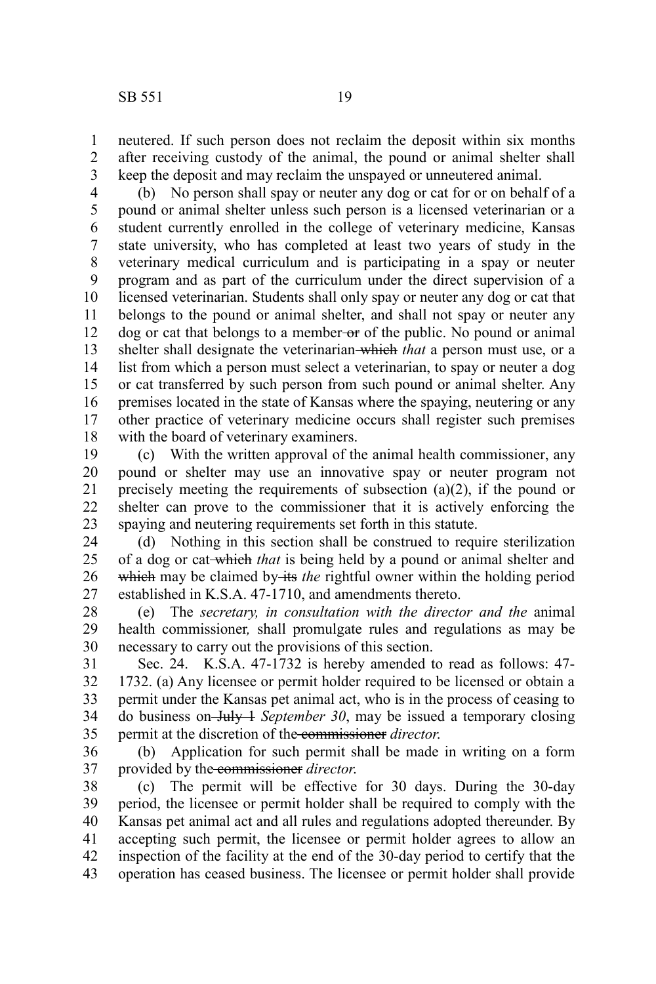neutered. If such person does not reclaim the deposit within six months after receiving custody of the animal, the pound or animal shelter shall keep the deposit and may reclaim the unspayed or unneutered animal. 1 2 3

(b) No person shall spay or neuter any dog or cat for or on behalf of a pound or animal shelter unless such person is a licensed veterinarian or a student currently enrolled in the college of veterinary medicine, Kansas state university, who has completed at least two years of study in the veterinary medical curriculum and is participating in a spay or neuter program and as part of the curriculum under the direct supervision of a licensed veterinarian. Students shall only spay or neuter any dog or cat that belongs to the pound or animal shelter, and shall not spay or neuter any dog or cat that belongs to a member-or of the public. No pound or animal shelter shall designate the veterinarian which *that* a person must use, or a list from which a person must select a veterinarian, to spay or neuter a dog or cat transferred by such person from such pound or animal shelter. Any premises located in the state of Kansas where the spaying, neutering or any other practice of veterinary medicine occurs shall register such premises with the board of veterinary examiners. 4 5 6 7 8 9 10 11 12 13 14 15 16 17 18

(c) With the written approval of the animal health commissioner, any pound or shelter may use an innovative spay or neuter program not precisely meeting the requirements of subsection (a)(2), if the pound or shelter can prove to the commissioner that it is actively enforcing the spaying and neutering requirements set forth in this statute. 19 20 21 22 23

(d) Nothing in this section shall be construed to require sterilization of a dog or cat which *that* is being held by a pound or animal shelter and which may be claimed by its *the* rightful owner within the holding period established in K.S.A. 47-1710, and amendments thereto. 24 25 26 27

(e) The *secretary, in consultation with the director and the* animal health commissioner*,* shall promulgate rules and regulations as may be necessary to carry out the provisions of this section. 28 29 30

Sec. 24. K.S.A. 47-1732 is hereby amended to read as follows: 47- 1732. (a) Any licensee or permit holder required to be licensed or obtain a permit under the Kansas pet animal act, who is in the process of ceasing to do business on July 1 *September 30*, may be issued a temporary closing permit at the discretion of the commissioner *director*. 31 32 33 34 35

(b) Application for such permit shall be made in writing on a form provided by the commissioner *director*. 36 37

(c) The permit will be effective for 30 days. During the 30-day period, the licensee or permit holder shall be required to comply with the Kansas pet animal act and all rules and regulations adopted thereunder. By accepting such permit, the licensee or permit holder agrees to allow an inspection of the facility at the end of the 30-day period to certify that the operation has ceased business. The licensee or permit holder shall provide 38 39 40 41 42 43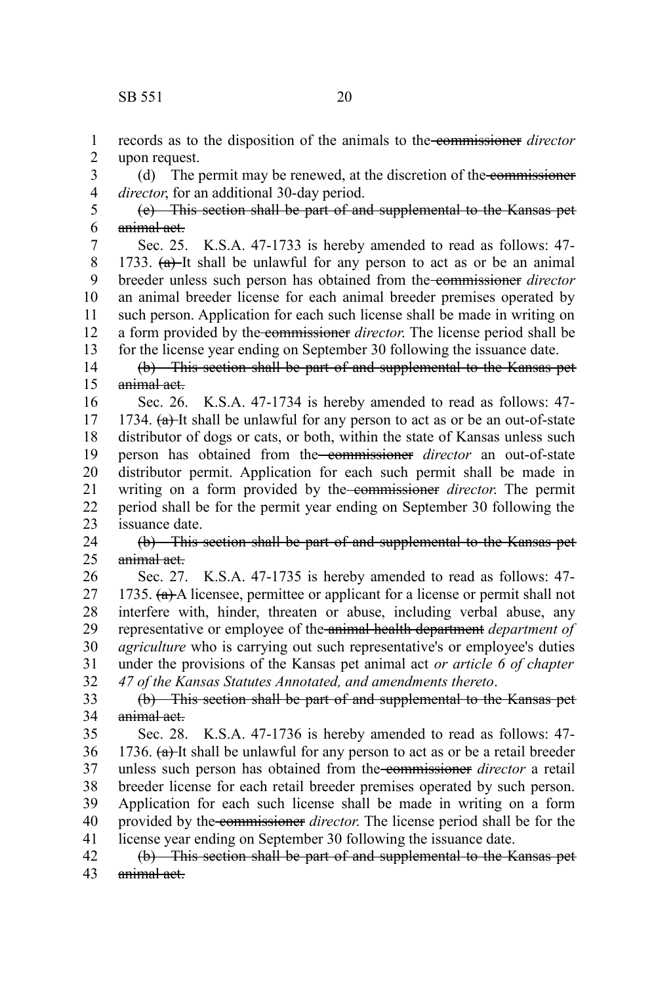records as to the disposition of the animals to the commissioner *director* upon request. 1 2

(d) The permit may be renewed, at the discretion of the commissioner *director*, for an additional 30-day period. 3 4

(e) This section shall be part of and supplemental to the Kansas pet animal act. 5 6

Sec. 25. K.S.A. 47-1733 is hereby amended to read as follows: 47- 1733.  $(a)$ -It shall be unlawful for any person to act as or be an animal breeder unless such person has obtained from the commissioner *director* an animal breeder license for each animal breeder premises operated by such person. Application for each such license shall be made in writing on a form provided by the commissioner *director*. The license period shall be for the license year ending on September 30 following the issuance date. 7 8 9 10 11 12 13

(b) This section shall be part of and supplemental to the Kansas pet animal act. 14 15

Sec. 26. K.S.A. 47-1734 is hereby amended to read as follows: 47- 1734.  $(a)$ -It shall be unlawful for any person to act as or be an out-of-state distributor of dogs or cats, or both, within the state of Kansas unless such person has obtained from the commissioner *director* an out-of-state distributor permit. Application for each such permit shall be made in writing on a form provided by the commissioner *director*. The permit period shall be for the permit year ending on September 30 following the issuance date. 16 17 18 19 20 21 22 23

(b) This section shall be part of and supplemental to the Kansas pet animal act. 24 25

Sec. 27. K.S.A. 47-1735 is hereby amended to read as follows: 47- 1735.  $(a)$  A licensee, permittee or applicant for a license or permit shall not interfere with, hinder, threaten or abuse, including verbal abuse, any representative or employee of the animal health department *department of agriculture* who is carrying out such representative's or employee's duties under the provisions of the Kansas pet animal act *or article 6 of chapter 47 of the Kansas Statutes Annotated, and amendments thereto*. 26 27 28 29 30 31 32

(b) This section shall be part of and supplemental to the Kansas pet animal act. 33 34

Sec. 28. K.S.A. 47-1736 is hereby amended to read as follows: 47- 1736.  $(a)$ -It shall be unlawful for any person to act as or be a retail breeder unless such person has obtained from the commissioner *director* a retail breeder license for each retail breeder premises operated by such person. Application for each such license shall be made in writing on a form provided by the commissioner *director*. The license period shall be for the license year ending on September 30 following the issuance date. 35 36 37 38 39 40 41

(b) This section shall be part of and supplemental to the Kansas pet animal act. 42 43